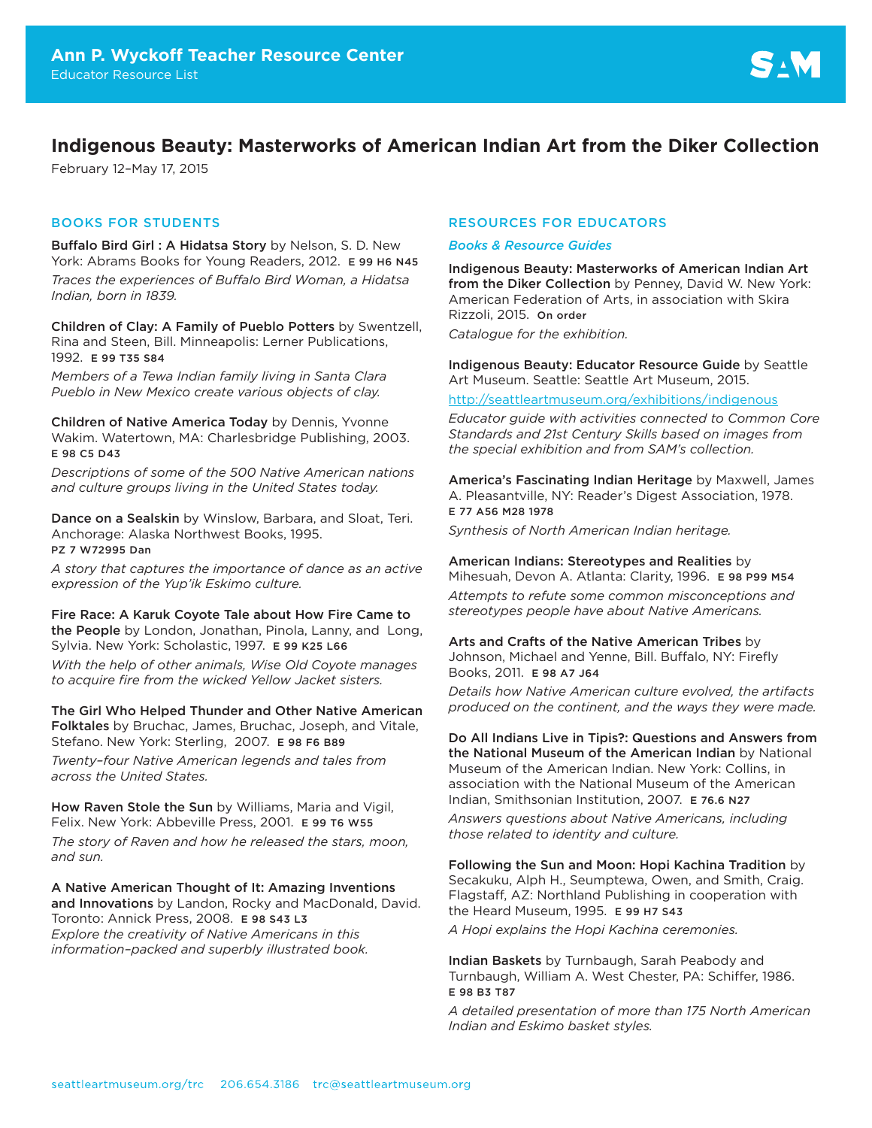# **Indigenous Beauty: Masterworks of American Indian Art from the Diker Collection**

February 12–May 17, 2015

# BOOKS FOR STUDENTS

Buffalo Bird Girl : A Hidatsa Story by Nelson, S. D. New York: Abrams Books for Young Readers, 2012. E 99 H6 N45 *Traces the experiences of Buffalo Bird Woman, a Hidatsa Indian, born in 1839.* 

Children of Clay: A Family of Pueblo Potters by Swentzell, Rina and Steen, Bill. Minneapolis: Lerner Publications, 1992. E 99 T35 S84

*Members of a Tewa Indian family living in Santa Clara Pueblo in New Mexico create various objects of clay.* 

Children of Native America Today by Dennis, Yvonne Wakim. Watertown, MA: Charlesbridge Publishing, 2003. E 98 C5 D43

*Descriptions of some of the 500 Native American nations and culture groups living in the United States today.*

Dance on a Sealskin by Winslow, Barbara, and Sloat, Teri. Anchorage: Alaska Northwest Books, 1995. PZ 7 W72995 Dan

*A story that captures the importance of dance as an active expression of the Yup'ik Eskimo culture.*

Fire Race: A Karuk Coyote Tale about How Fire Came to the People by London, Jonathan, Pinola, Lanny, and Long, Sylvia. New York: Scholastic, 1997. E 99 K25 L66

*With the help of other animals, Wise Old Coyote manages to acquire fire from the wicked Yellow Jacket sisters.*

The Girl Who Helped Thunder and Other Native American Folktales by Bruchac, James, Bruchac, Joseph, and Vitale, Stefano. New York: Sterling, 2007. E 98 F6 B89

*Twenty–four Native American legends and tales from across the United States.*

How Raven Stole the Sun by Williams, Maria and Vigil, Felix. New York: Abbeville Press, 2001. E 99 T6 W55

*The story of Raven and how he released the stars, moon, and sun.*

A Native American Thought of It: Amazing Inventions and Innovations by Landon, Rocky and MacDonald, David. Toronto: Annick Press, 2008. E 98 S43 L3 *Explore the creativity of Native Americans in this information–packed and superbly illustrated book.*

# RESOURCES FOR EDUCATORS

#### *Books & Resource Guides*

Indigenous Beauty: Masterworks of American Indian Art from the Diker Collection by Penney, David W. New York: American Federation of Arts, in association with Skira Rizzoli, 2015. On order

*Catalogue for the exhibition.* 

Indigenous Beauty: Educator Resource Guide by Seattle Art Museum. Seattle: Seattle Art Museum, 2015.

#### <http://seattleartmuseum.org/exhibitions/indigenous>

*Educator guide with activities connected to Common Core Standards and 21st Century Skills based on images from the special exhibition and from SAM's collection.*

America's Fascinating Indian Heritage by Maxwell, James A. Pleasantville, NY: Reader's Digest Association, 1978. E 77 A56 M28 1978

*Synthesis of North American Indian heritage.* 

### American Indians: Stereotypes and Realities by

Mihesuah, Devon A. Atlanta: Clarity, 1996. E 98 P99 M54 *Attempts to refute some common misconceptions and stereotypes people have about Native Americans.*

#### Arts and Crafts of the Native American Tribes by Johnson, Michael and Yenne, Bill. Buffalo, NY: Firefly Books, 2011. E 98 A7 J64

*Details how Native American culture evolved, the artifacts produced on the continent, and the ways they were made.*

Do All Indians Live in Tipis?: Questions and Answers from the National Museum of the American Indian by National Museum of the American Indian. New York: Collins, in association with the National Museum of the American Indian, Smithsonian Institution, 2007. E 76.6 N27

*Answers questions about Native Americans, including those related to identity and culture.*

Following the Sun and Moon: Hopi Kachina Tradition by Secakuku, Alph H., Seumptewa, Owen, and Smith, Craig. Flagstaff, AZ: Northland Publishing in cooperation with the Heard Museum, 1995. E 99 H7 S43

*A Hopi explains the Hopi Kachina ceremonies.*

Indian Baskets by Turnbaugh, Sarah Peabody and Turnbaugh, William A. West Chester, PA: Schiffer, 1986. E 98 B3 T87

*A detailed presentation of more than 175 North American Indian and Eskimo basket styles.*